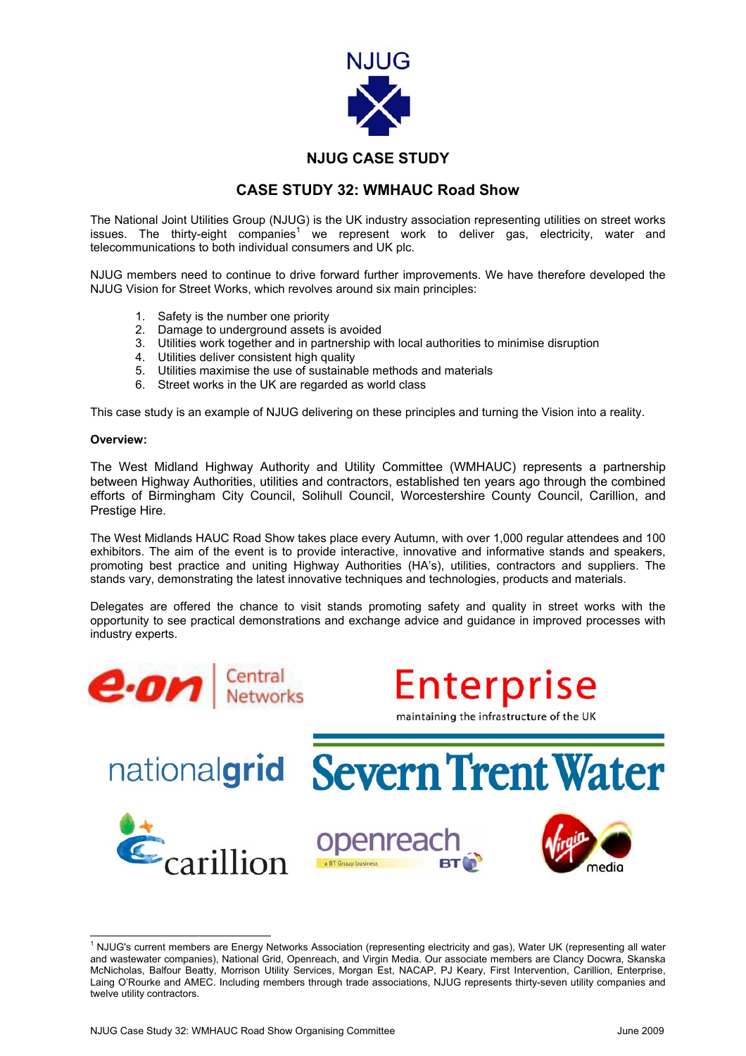

## **NJUG CASE STUDY**

## **CASE STUDY 32: WMHAUC Road Show**

The National Joint Utilities Group (NJUG) is the UK industry association representing utilities on street works issues. The thirty-eight companies<sup>[1](#page-0-0)</sup> we represent work to deliver gas, electricity, water and telecommunications to both individual consumers and UK plc.

NJUG members need to continue to drive forward further improvements. We have therefore developed the NJUG Vision for Street Works, which revolves around six main principles:

- 1. Safety is the number one priority<br>2. Damage to underground assets
- Damage to underground assets is avoided
- 3. Utilities work together and in partnership with local authorities to minimise disruption
- 4. Utilities deliver consistent high quality
- 5. Utilities maximise the use of sustainable methods and materials
- 6. Street works in the UK are regarded as world class

This case study is an example of NJUG delivering on these principles and turning the Vision into a reality.

## **Overview:**

The West Midland Highway Authority and Utility Committee (WMHAUC) represents a partnership between Highway Authorities, utilities and contractors, established ten years ago through the combined efforts of Birmingham City Council, Solihull Council, Worcestershire County Council, Carillion, and Prestige Hire.

The West Midlands HAUC Road Show takes place every Autumn, with over 1,000 regular attendees and 100 exhibitors. The aim of the event is to provide interactive, innovative and informative stands and speakers, promoting best practice and uniting Highway Authorities (HA's), utilities, contractors and suppliers. The stands vary, demonstrating the latest innovative techniques and technologies, products and materials.

Delegates are offered the chance to visit stands promoting safety and quality in street works with the opportunity to see practical demonstrations and exchange advice and guidance in improved processes with industry experts.





nationalgrid Severn Trent Water







<span id="page-0-0"></span> $\frac{1}{1}$ <sup>1</sup> NJUG's current members are Energy Networks Association (representing electricity and gas), Water UK (representing all water and wastewater companies), National Grid, Openreach, and Virgin Media. Our associate members are Clancy Docwra, Skanska McNicholas, Balfour Beatty, Morrison Utility Services, Morgan Est, NACAP, PJ Keary, First Intervention, Carillion, Enterprise, Laing O'Rourke and AMEC. Including members through trade associations, NJUG represents thirty-seven utility companies and twelve utility contractors.